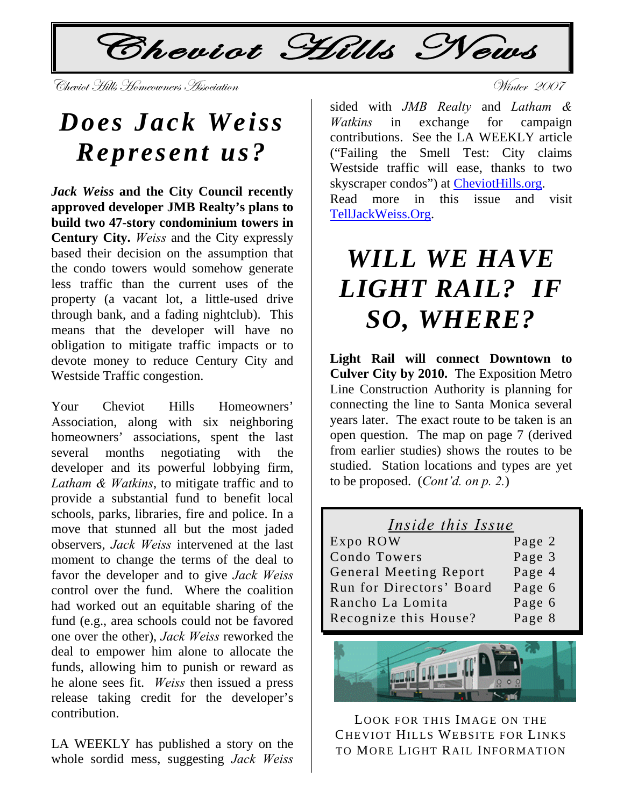$\mathcal{L}$ Cheviot Hills News

-Vinter 2007<br>Cheviot Hills Homeowners Association

## *Does Jack Weiss Represent us?*

*Jack Weiss* **and the City Council recently approved developer JMB Realty's plans to build two 47-story condominium towers in Century City.** *Weiss* and the City expressly based their decision on the assumption that the condo towers would somehow generate less traffic than the current uses of the property (a vacant lot, a little-used drive through bank, and a fading nightclub). This means that the developer will have no obligation to mitigate traffic impacts or to devote money to reduce Century City and Westside Traffic congestion.

Your Cheviot Hills Homeowners' Association, along with six neighboring homeowners' associations, spent the last several months negotiating with the developer and its powerful lobbying firm, *Latham & Watkins*, to mitigate traffic and to provide a substantial fund to benefit local schools, parks, libraries, fire and police. In a move that stunned all but the most jaded observers, *Jack Weiss* intervened at the last moment to change the terms of the deal to favor the developer and to give *Jack Weiss* control over the fund. Where the coalition had worked out an equitable sharing of the fund (e.g., area schools could not be favored one over the other), *Jack Weiss* reworked the deal to empower him alone to allocate the funds, allowing him to punish or reward as he alone sees fit. *Weiss* then issued a press release taking credit for the developer's contribution.

LA WEEKLY has published a story on the whole sordid mess, suggesting *Jack Weiss*

sided with *JMB Realty* and *Latham & Watkins* in exchange for campaign contributions. See the LA WEEKLY article ("Failing the Smell Test: City claims Westside traffic will ease, thanks to two skyscraper condos") at [CheviotHills.org](http://www.cheviothills.org/). Read more in this issue and visit [TellJackWeiss.Org](http://www.telljackweiss.org/).

# *WILL WE HAVE LIGHT RAIL? IF SO, WHERE?*

**Light Rail will connect Downtown to Culver City by 2010.** The Exposition Metro Line Construction Authority is planning for connecting the line to Santa Monica several years later. The exact route to be taken is an open question. The map on page 7 (derived from earlier studies) shows the routes to be studied. Station locations and types are yet to be proposed. (*Cont'd. on p. 2.*)

| Inside this Issue             |        |
|-------------------------------|--------|
| Expo ROW                      | Page 2 |
| Condo Towers                  | Page 3 |
| <b>General Meeting Report</b> | Page 4 |
| Run for Directors' Board      | Page 6 |
| Rancho La Lomita              | Page 6 |
| Recognize this House?         | Page 8 |



LOOK FOR THIS IMAGE ON THE CHEVIOT HILLS WEBSITE FOR LINKS TO MORE LIGHT RAIL INFORMATION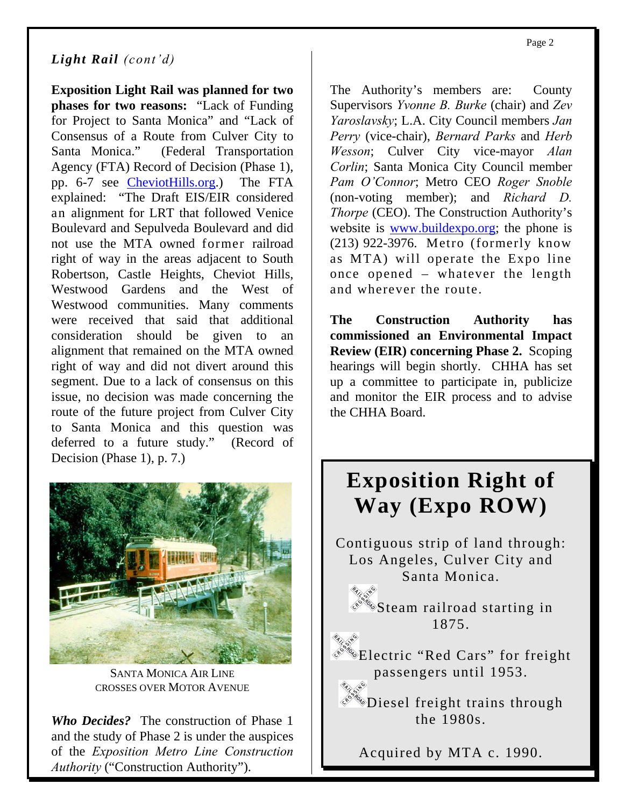#### *Light Rail (cont'd)*

**Exposition Light Rail was planned for two phases for two reasons:** "Lack of Funding for Project to Santa Monica" and "Lack of Consensus of a Route from Culver City to Santa Monica." (Federal Transportation Agency (FTA) Record of Decision (Phase 1), pp. 6-7 see [CheviotHills.org.](http://www.cheviothills.org/)) The FTA explained: "The Draft EIS/EIR considered an alignment for LRT that followed Venice Boulevard and Sepulveda Boulevard and did not use the MTA owned former railroad right of way in the areas adjacent to South Robertson, Castle Heights, Cheviot Hills, Westwood Gardens and the West of Westwood communities. Many comments were received that said that additional consideration should be given to an alignment that remained on the MTA owned right of way and did not divert around this segment. Due to a lack of consensus on this issue, no decision was made concerning the route of the future project from Culver City to Santa Monica and this question was deferred to a future study." (Record of Decision (Phase 1), p. 7.)



SANTA MONICA AIR LINE CROSSES OVER MOTOR AVENUE

*Who Decides?* The construction of Phase 1 and the study of Phase 2 is under the auspices of the *Exposition Metro Line Construction Authority* ("Construction Authority").

The Authority's members are: County Supervisors *Yvonne B. Burke* (chair) and *Zev Yaroslavsky*; L.A. City Council members *Jan Perry* (vice-chair), *Bernard Parks* and *Herb Wesson*; Culver City vice-mayor *Alan Corlin*; Santa Monica City Council member *Pam O'Connor*; Metro CEO *Roger Snoble* (non-voting member); and *Richard D. Thorpe* (CEO). The Construction Authority's website is [www.buildexpo.org](http://www.buildexpo.org/); the phone is (213) 922-3976. Metro (formerly know as MTA) will operate the Expo line once opened – whatever the length and wherever the route.

**The Construction Authority has commissioned an Environmental Impact Review (EIR) concerning Phase 2.** Scoping hearings will begin shortly. CHHA has set up a committee to participate in, publicize and monitor the EIR process and to advise the CHHA Board.

### **Exposition Right of Way (Expo ROW)**

Contiguous strip of land through: Los Angeles, Culver City and Santa Monica.

> Steam railroad starting in 1875.

Electric "Red Cars" for freight passengers until 1953.

**Diesel freight trains through** the 1980s.

Acquired by MTA c. 1990.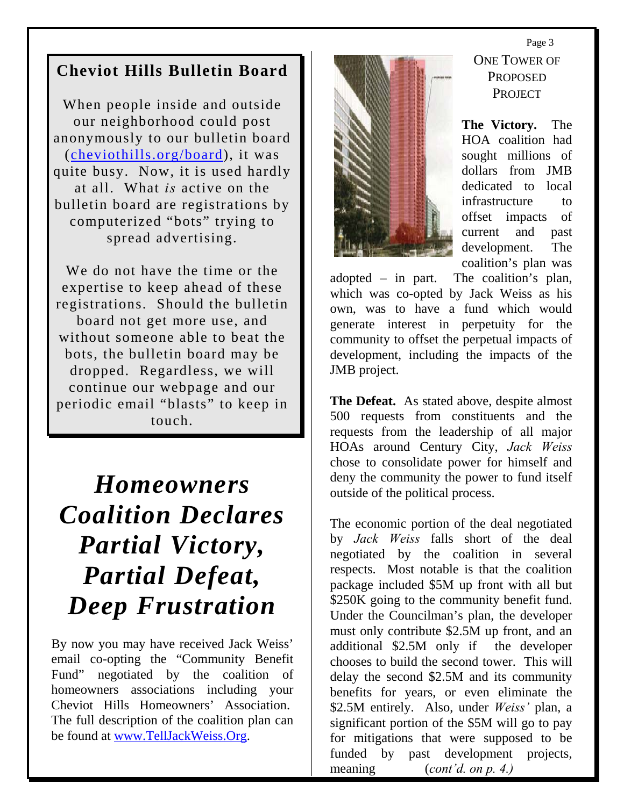### **Cheviot Hills Bulletin Board**

When people inside and outside our neighborhood could post anonymously to our bulletin board ([cheviothills.org/board](http://cheviothills.org/board/)), it was quite busy. Now, it is used hardly at all. What *is* active on the bulletin board are registrations by computerized "bots" trying to spread advertising.

We do not have the time or the expertise to keep ahead of these registrations. Should the bulletin board not get more use, and without someone able to beat the bots, the bulletin board may be dropped. Regardless, we will continue our webpage and our periodic email "blasts" to keep in touch.

## *Homeowners Coalition Declares Partial Victory, Partial Defeat, Deep Frustration*

By now you may have received Jack Weiss' email co-opting the "Community Benefit Fund" negotiated by the coalition of homeowners associations including your Cheviot Hills Homeowners' Association. The full description of the coalition plan can be found at [www.TellJackWeiss.Org](http://www.telljackweiss.org/).



#### Page 3 ONE TOWER OF PROPOSED PROJECT

**The Victory.** The HOA coalition had sought millions of dollars from JMB dedicated to local infrastructure to offset impacts of current and past development. The coalition's plan was

adopted – in part. The coalition's plan, which was co-opted by Jack Weiss as his own, was to have a fund which would generate interest in perpetuity for the community to offset the perpetual impacts of development, including the impacts of the JMB project.

**The Defeat.** As stated above, despite almost 500 requests from constituents and the requests from the leadership of all major HOAs around Century City, *Jack Weiss*  chose to consolidate power for himself and deny the community the power to fund itself outside of the political process.

The economic portion of the deal negotiated by *Jack Weiss* falls short of the deal negotiated by the coalition in several respects. Most notable is that the coalition package included \$5M up front with all but \$250K going to the community benefit fund. Under the Councilman's plan, the developer must only contribute \$2.5M up front, and an additional \$2.5M only if the developer chooses to build the second tower. This will delay the second \$2.5M and its community benefits for years, or even eliminate the \$2.5M entirely. Also, under *Weiss'* plan, a significant portion of the \$5M will go to pay for mitigations that were supposed to be funded by past development projects, meaning (*cont'd. on p. 4.)*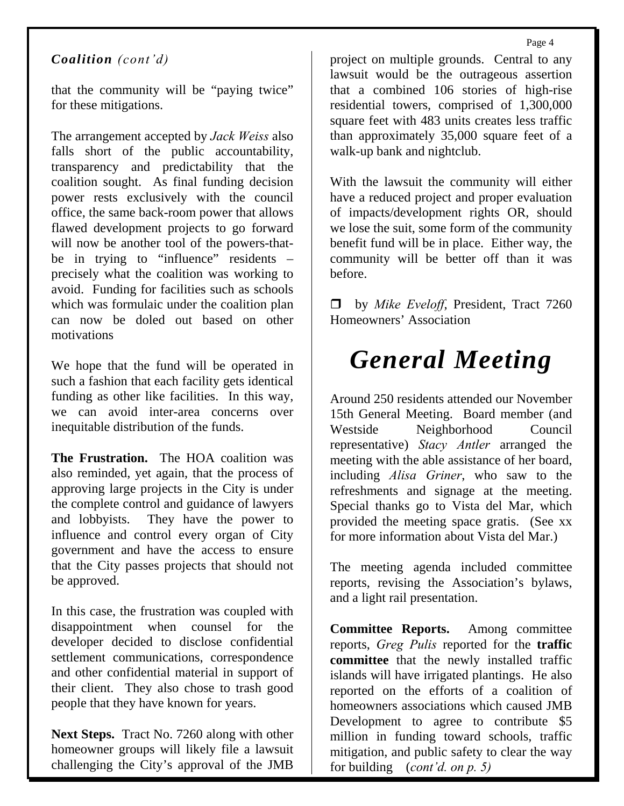Page 4

#### *Coalition (cont'd)*

that the community will be "paying twice" for these mitigations.

The arrangement accepted by *Jack Weiss* also falls short of the public accountability, transparency and predictability that the coalition sought. As final funding decision power rests exclusively with the council office, the same back-room power that allows flawed development projects to go forward will now be another tool of the powers-thatbe in trying to "influence" residents – precisely what the coalition was working to avoid. Funding for facilities such as schools which was formulaic under the coalition plan can now be doled out based on other motivations

We hope that the fund will be operated in such a fashion that each facility gets identical funding as other like facilities. In this way, we can avoid inter-area concerns over inequitable distribution of the funds.

**The Frustration.** The HOA coalition was also reminded, yet again, that the process of approving large projects in the City is under the complete control and guidance of lawyers and lobbyists. They have the power to influence and control every organ of City government and have the access to ensure that the City passes projects that should not be approved.

In this case, the frustration was coupled with disappointment when counsel for the developer decided to disclose confidential settlement communications, correspondence and other confidential material in support of their client. They also chose to trash good people that they have known for years.

**Next Steps.** Tract No. 7260 along with other homeowner groups will likely file a lawsuit challenging the City's approval of the JMB

project on multiple grounds. Central to any lawsuit would be the outrageous assertion that a combined 106 stories of high-rise residential towers, comprised of 1,300,000 square feet with 483 units creates less traffic than approximately 35,000 square feet of a walk-up bank and nightclub.

With the lawsuit the community will either have a reduced project and proper evaluation of impacts/development rights OR, should we lose the suit, some form of the community benefit fund will be in place. Either way, the community will be better off than it was before.

□ by *Mike Eveloff*, President, Tract 7260 Homeowners' Association

## *General Meeting*

Around 250 residents attended our November 15th General Meeting. Board member (and Westside Neighborhood Council representative) *Stacy Antler* arranged the meeting with the able assistance of her board, including *Alisa Griner*, who saw to the refreshments and signage at the meeting. Special thanks go to Vista del Mar, which provided the meeting space gratis. (See xx for more information about Vista del Mar.)

The meeting agenda included committee reports, revising the Association's bylaws, and a light rail presentation.

**Committee Reports.** Among committee reports, *Greg Pulis* reported for the **traffic committee** that the newly installed traffic islands will have irrigated plantings. He also reported on the efforts of a coalition of homeowners associations which caused JMB Development to agree to contribute \$5 million in funding toward schools, traffic mitigation, and public safety to clear the way for building (*cont'd. on p. 5)*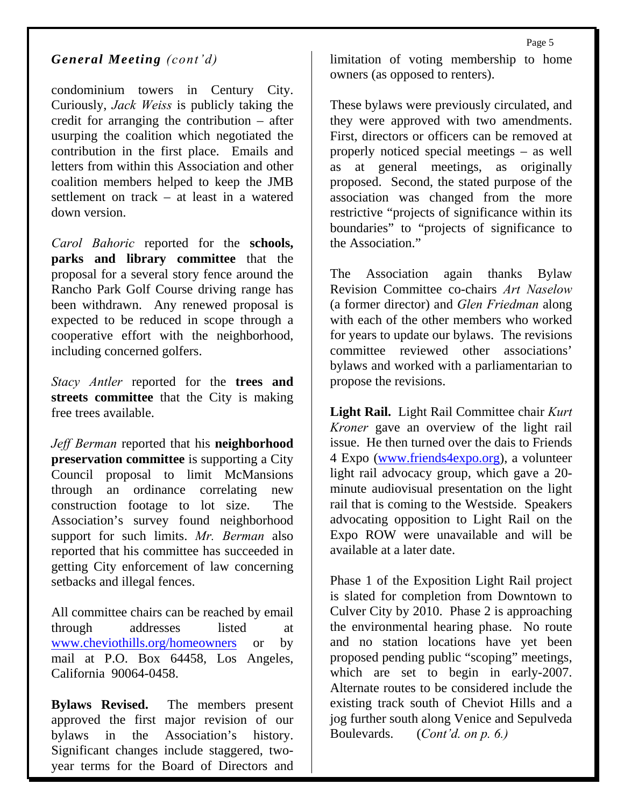#### *General Meeting (cont'd)*

condominium towers in Century City. Curiously, *Jack Weiss* is publicly taking the credit for arranging the contribution – after usurping the coalition which negotiated the contribution in the first place. Emails and letters from within this Association and other coalition members helped to keep the JMB settlement on track – at least in a watered down version.

*Carol Bahoric* reported for the **schools, parks and library committee** that the proposal for a several story fence around the Rancho Park Golf Course driving range has been withdrawn. Any renewed proposal is expected to be reduced in scope through a cooperative effort with the neighborhood, including concerned golfers.

*Stacy Antler* reported for the **trees and streets committee** that the City is making free trees available.

*Jeff Berman* reported that his **neighborhood preservation committee** is supporting a City Council proposal to limit McMansions through an ordinance correlating new construction footage to lot size. The Association's survey found neighborhood support for such limits. *Mr. Berman* also reported that his committee has succeeded in getting City enforcement of law concerning setbacks and illegal fences.

All committee chairs can be reached by email through addresses listed at [www.cheviothills.org/homeowners](http://www.cheviothills.org/homeowners) or by mail at P.O. Box 64458, Los Angeles, California 90064-0458.

**Bylaws Revised.** The members present approved the first major revision of our bylaws in the Association's history. Significant changes include staggered, twoyear terms for the Board of Directors and limitation of voting membership to home owners (as opposed to renters).

These bylaws were previously circulated, and they were approved with two amendments. First, directors or officers can be removed at properly noticed special meetings – as well as at general meetings, as originally proposed. Second, the stated purpose of the association was changed from the more restrictive "projects of significance within its boundaries" to "projects of significance to the Association."

The Association again thanks Bylaw Revision Committee co-chairs *Art Naselow* (a former director) and *Glen Friedman* along with each of the other members who worked for years to update our bylaws. The revisions committee reviewed other associations' bylaws and worked with a parliamentarian to propose the revisions.

**Light Rail.** Light Rail Committee chair *Kurt Kroner* gave an overview of the light rail issue. He then turned over the dais to Friends 4 Expo [\(www.friends4expo.org\)](http://www.friends4expo.org/), a volunteer light rail advocacy group, which gave a 20 minute audiovisual presentation on the light rail that is coming to the Westside. Speakers advocating opposition to Light Rail on the Expo ROW were unavailable and will be available at a later date.

Phase 1 of the Exposition Light Rail project is slated for completion from Downtown to Culver City by 2010. Phase 2 is approaching the environmental hearing phase. No route and no station locations have yet been proposed pending public "scoping" meetings, which are set to begin in early-2007. Alternate routes to be considered include the existing track south of Cheviot Hills and a jog further south along Venice and Sepulveda Boulevards. (*Cont'd. on p. 6.)*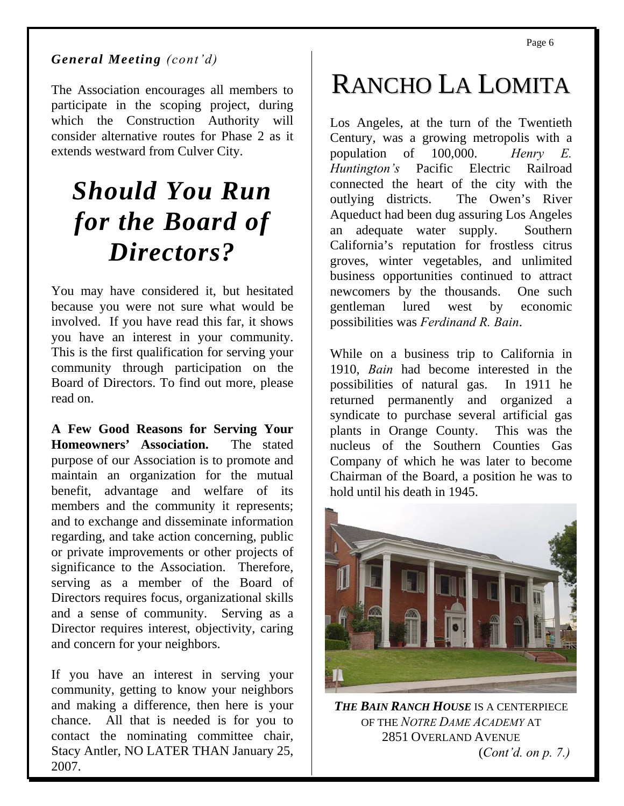#### *General Meeting (cont'd)*

The Association encourages all members to participate in the scoping project, during which the Construction Authority will consider alternative routes for Phase 2 as it extends westward from Culver City.

### *Should You Run for the Board of Directors?*

You may have considered it, but hesitated because you were not sure what would be involved. If you have read this far, it shows you have an interest in your community. This is the first qualification for serving your community through participation on the Board of Directors. To find out more, please read on.

**A Few Good Reasons for Serving Your Homeowners' Association.** The stated purpose of our Association is to promote and maintain an organization for the mutual benefit, advantage and welfare of its members and the community it represents; and to exchange and disseminate information regarding, and take action concerning, public or private improvements or other projects of significance to the Association. Therefore, serving as a member of the Board of Directors requires focus, organizational skills and a sense of community. Serving as a Director requires interest, objectivity, caring and concern for your neighbors.

If you have an interest in serving your community, getting to know your neighbors and making a difference, then here is your chance. All that is needed is for you to contact the nominating committee chair, Stacy Antler, NO LATER THAN January 25, 2007.

# RANCHO LA LOMITA

Los Angeles, at the turn of the Twentieth Century, was a growing metropolis with a population of 100,000. *Henry E. Huntington's* Pacific Electric Railroad connected the heart of the city with the outlying districts. The Owen's River Aqueduct had been dug assuring Los Angeles an adequate water supply. Southern California's reputation for frostless citrus groves, winter vegetables, and unlimited business opportunities continued to attract newcomers by the thousands. One such gentleman lured west by economic possibilities was *Ferdinand R. Bain*.

While on a business trip to California in 1910, *Bain* had become interested in the possibilities of natural gas. In 1911 he returned permanently and organized a syndicate to purchase several artificial gas plants in Orange County. This was the nucleus of the Southern Counties Gas Company of which he was later to become Chairman of the Board, a position he was to hold until his death in 1945.



*THE BAIN RANCH HOUSE* IS A CENTERPIECE OF THE *NOTRE DAME ACADEMY* AT 2851 OVERLAND AVENUE (*Cont'd. on p. 7.)*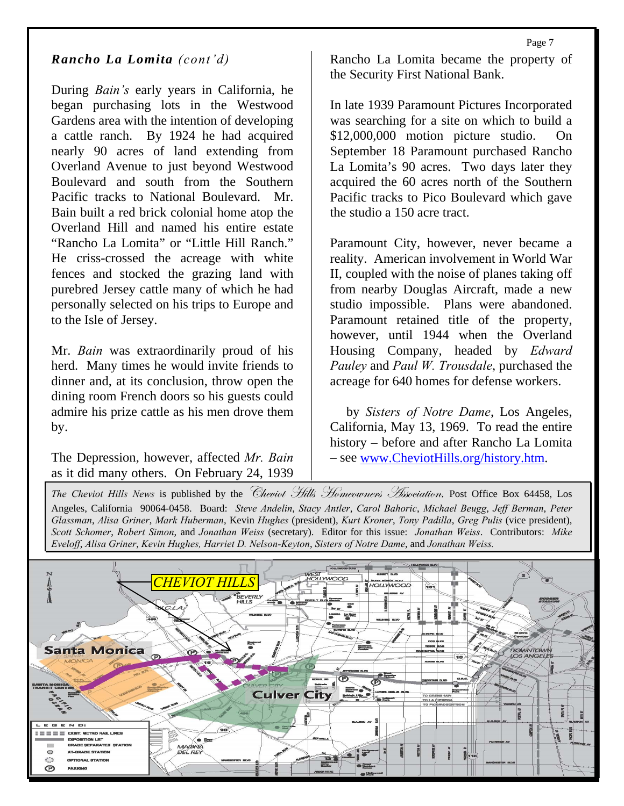#### *Rancho La Lomita (cont'd)*

During *Bain's* early years in California, he began purchasing lots in the Westwood Gardens area with the intention of developing a cattle ranch. By 1924 he had acquired nearly 90 acres of land extending from Overland Avenue to just beyond Westwood Boulevard and south from the Southern Pacific tracks to National Boulevard. Mr. Bain built a red brick colonial home atop the Overland Hill and named his entire estate "Rancho La Lomita" or "Little Hill Ranch." He criss-crossed the acreage with white fences and stocked the grazing land with purebred Jersey cattle many of which he had personally selected on his trips to Europe and to the Isle of Jersey.

Mr. *Bain* was extraordinarily proud of his herd. Many times he would invite friends to dinner and, at its conclusion, throw open the dining room French doors so his guests could admire his prize cattle as his men drove them by.

The Depression, however, affected *Mr. Bain* as it did many others. On February 24, 1939

Rancho La Lomita became the property of the Security First National Bank.

In late 1939 Paramount Pictures Incorporated was searching for a site on which to build a \$12,000,000 motion picture studio. On September 18 Paramount purchased Rancho La Lomita's 90 acres. Two days later they acquired the 60 acres north of the Southern Pacific tracks to Pico Boulevard which gave the studio a 150 acre tract.

Paramount City, however, never became a reality. American involvement in World War II, coupled with the noise of planes taking off from nearby Douglas Aircraft, made a new studio impossible. Plans were abandoned. Paramount retained title of the property, however, until 1944 when the Overland Housing Company, headed by *Edward Pauley* and *Paul W. Trousdale*, purchased the acreage for 640 homes for defense workers.

 by *Sisters of Notre Dame*, Los Angeles, California, May 13, 1969. To read the entire history – before and after Rancho La Lomita – see [www.CheviotHills.org/history.htm.](http://www.cheviothills.org/history.htm)

*The Cheviot Hills News is published by the Cheviot Hills Homeouvners Association*, Post Office Box 64458, Los Angeles, California 90064-0458. Board: *Steve Andelin*, *Stacy Antler*, *Carol Bahoric*, *Michael Beugg*, *Jeff Berman*, *Peter Glassman*, *Alisa Griner*, *Mark Huberman*, Kevin *Hughes* (president), *Kurt Kroner*, *Tony Padilla*, *Greg Pulis* (vice president), *Scott Schomer*, *Robert Simon*, and *Jonathan Weiss* (secretary). Editor for this issue: *Jonathan Weiss*. Contributors: *Mike Eveloff*, *Alisa Griner*, *Kevin Hughes, Harriet D. Nelson-Keyton*, *Sisters of Notre Dame*, and *Jonathan Weiss.*